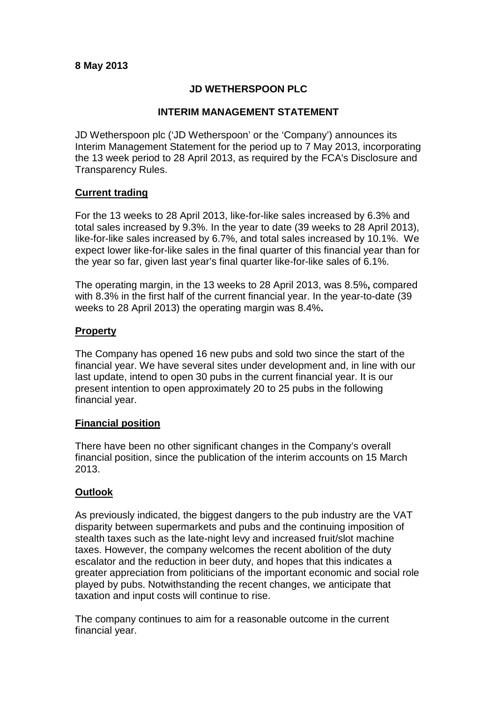# **8 May 2013**

## **JD WETHERSPOON PLC**

#### **INTERIM MANAGEMENT STATEMENT**

JD Wetherspoon plc ('JD Wetherspoon' or the 'Company') announces its Interim Management Statement for the period up to 7 May 2013, incorporating the 13 week period to 28 April 2013, as required by the FCA's Disclosure and Transparency Rules.

#### **Current trading**

For the 13 weeks to 28 April 2013, like-for-like sales increased by 6.3% and total sales increased by 9.3%. In the year to date (39 weeks to 28 April 2013), like-for-like sales increased by 6.7%, and total sales increased by 10.1%. We expect lower like-for-like sales in the final quarter of this financial year than for the year so far, given last year's final quarter like-for-like sales of 6.1%.

The operating margin, in the 13 weeks to 28 April 2013, was 8.5%**,** compared with 8.3% in the first half of the current financial year. In the year-to-date (39 weeks to 28 April 2013) the operating margin was 8.4%**.**

#### **Property**

The Company has opened 16 new pubs and sold two since the start of the financial year. We have several sites under development and, in line with our last update, intend to open 30 pubs in the current financial year. It is our present intention to open approximately 20 to 25 pubs in the following financial year.

# **Financial position**

There have been no other significant changes in the Company's overall financial position, since the publication of the interim accounts on 15 March 2013.

# **Outlook**

As previously indicated, the biggest dangers to the pub industry are the VAT disparity between supermarkets and pubs and the continuing imposition of stealth taxes such as the late-night levy and increased fruit/slot machine taxes. However, the company welcomes the recent abolition of the duty escalator and the reduction in beer duty, and hopes that this indicates a greater appreciation from politicians of the important economic and social role played by pubs. Notwithstanding the recent changes, we anticipate that taxation and input costs will continue to rise.

The company continues to aim for a reasonable outcome in the current financial year.